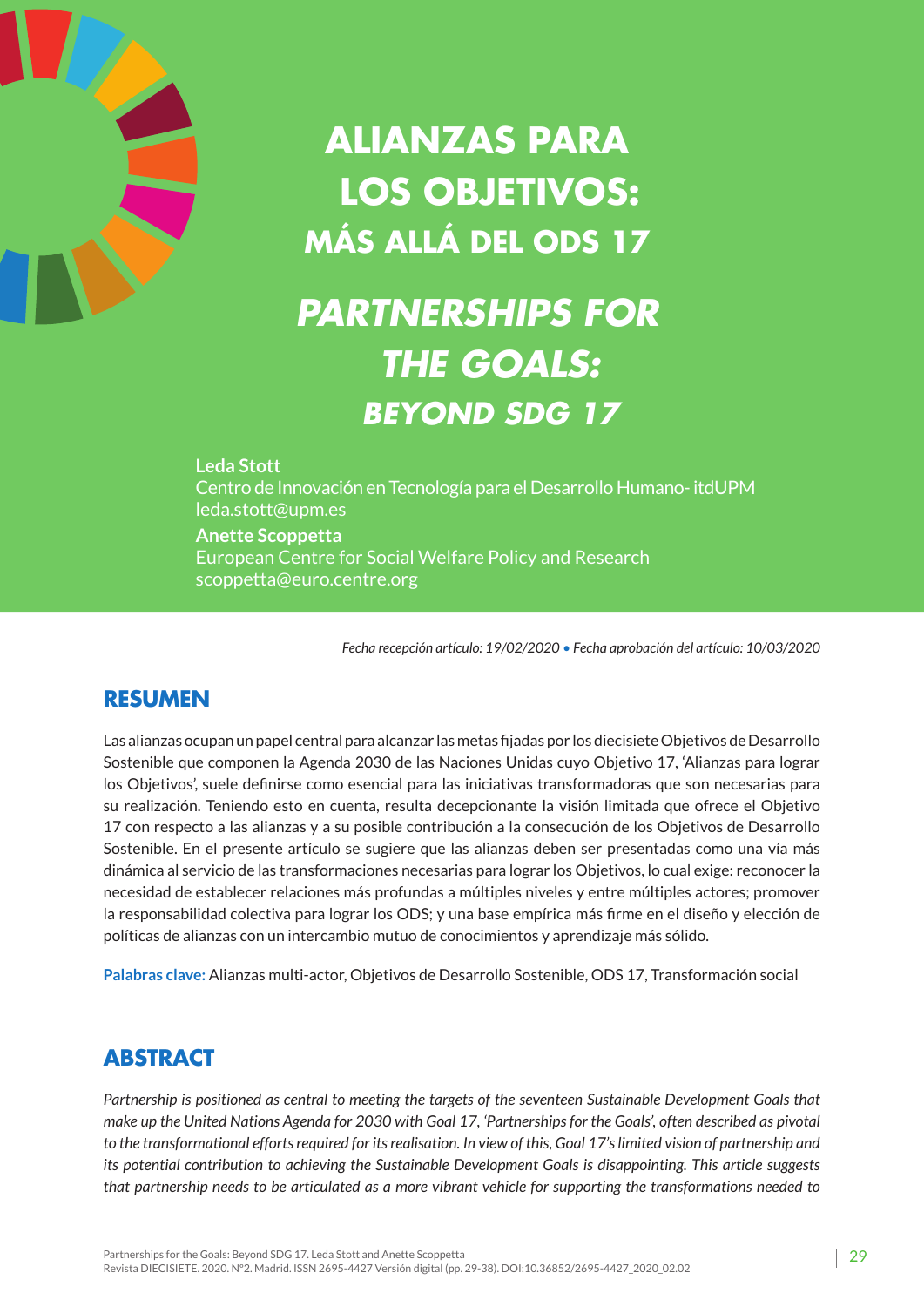

# **Alianzas para los Objetivos: más allá del ODS 17**

# *Partnerships for the Goals: Beyond SDG 17*

#### **Leda Stott**

Centro de Innovación en Tecnología para el Desarrollo Humano- itdUPM leda.stott@upm.es

#### **Anette Scoppetta**

European Centre for Social Welfare Policy and Research scoppetta@euro.centre.org

*Fecha recepción artículo: 19/02/2020 • Fecha aprobación del artículo: 10/03/2020*

### **RESUMEN**

Las alianzas ocupan un papel central para alcanzar las metas fijadas por los diecisiete Objetivos de Desarrollo Sostenible que componen la Agenda 2030 de las Naciones Unidas cuyo Objetivo 17, 'Alianzas para lograr los Objetivos', suele definirse como esencial para las iniciativas transformadoras que son necesarias para su realización. Teniendo esto en cuenta, resulta decepcionante la visión limitada que ofrece el Objetivo 17 con respecto a las alianzas y a su posible contribución a la consecución de los Objetivos de Desarrollo Sostenible. En el presente artículo se sugiere que las alianzas deben ser presentadas como una vía más dinámica al servicio de las transformaciones necesarias para lograr los Objetivos, lo cual exige: reconocer la necesidad de establecer relaciones más profundas a múltiples niveles y entre múltiples actores; promover la responsabilidad colectiva para lograr los ODS; y una base empírica más firme en el diseño y elección de políticas de alianzas con un intercambio mutuo de conocimientos y aprendizaje más sólido.

**Palabras clave:** Alianzas multi-actor, Objetivos de Desarrollo Sostenible, ODS 17, Transformación social

## **ABSTRACT**

*Partnership is positioned as central to meeting the targets of the seventeen Sustainable Development Goals that make up the United Nations Agenda for 2030 with Goal 17, 'Partnerships for the Goals', often described as pivotal to the transformational efforts required for its realisation. In view of this, Goal 17's limited vision of partnership and its potential contribution to achieving the Sustainable Development Goals is disappointing. This article suggests that partnership needs to be articulated as a more vibrant vehicle for supporting the transformations needed to*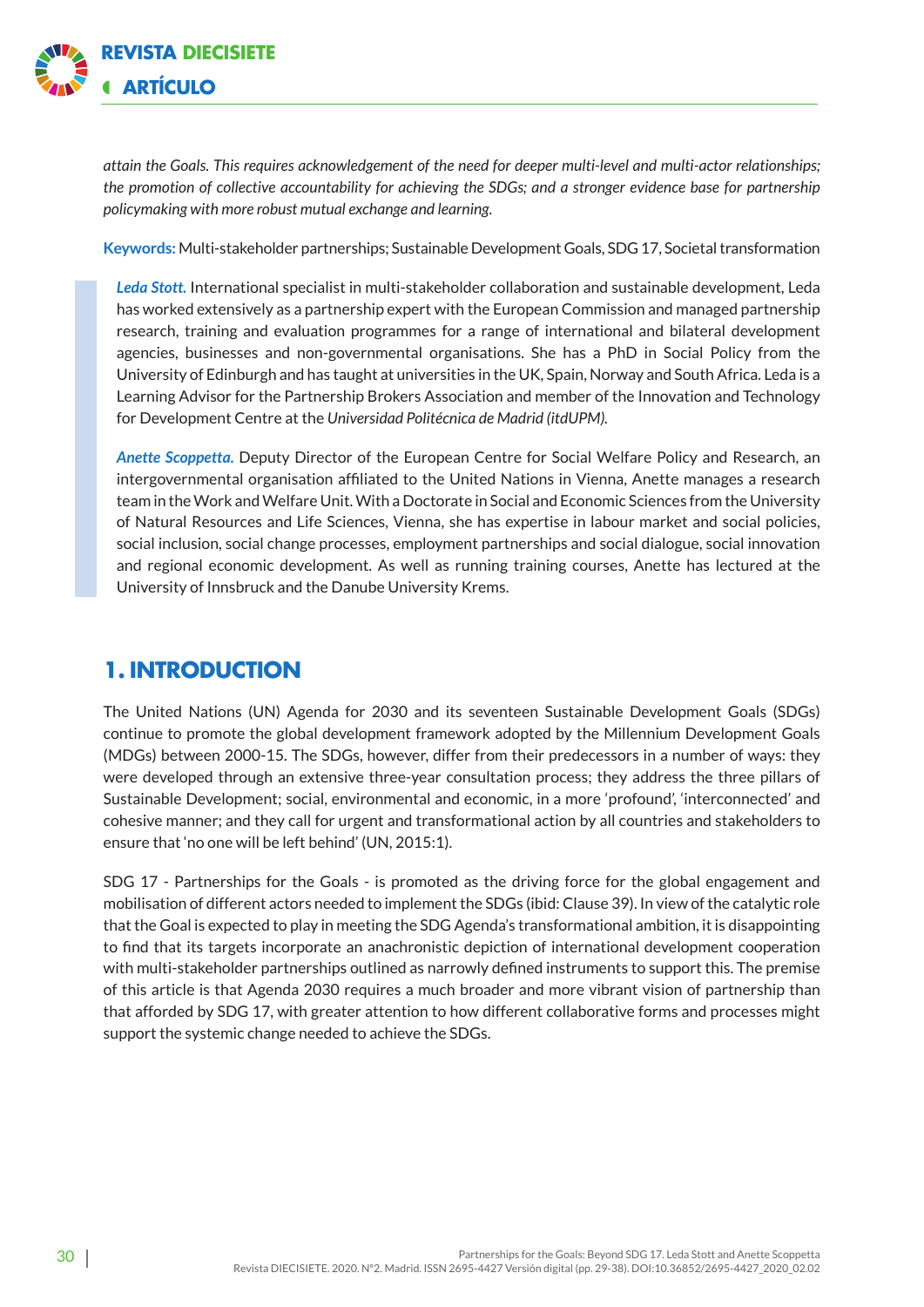

*attain the Goals. This requires acknowledgement of the need for deeper multi-level and multi-actor relationships; the promotion of collective accountability for achieving the SDGs; and a stronger evidence base for partnership policymaking with more robust mutual exchange and learning.* 

**Keywords:** Multi-stakeholder partnerships; Sustainable Development Goals, SDG 17, Societal transformation

*Leda Stott.* International specialist in multi-stakeholder collaboration and sustainable development, Leda has worked extensively as a partnership expert with the European Commission and managed partnership research, training and evaluation programmes for a range of international and bilateral development agencies, businesses and non-governmental organisations. She has a PhD in Social Policy from the University of Edinburgh and has taught at universities in the UK, Spain, Norway and South Africa. Leda is a Learning Advisor for the Partnership Brokers Association and member of the Innovation and Technology for Development Centre at the *Universidad Politécnica de Madrid (itdUPM).*

*Anette Scoppetta.* Deputy Director of the European Centre for Social Welfare Policy and Research, an intergovernmental organisation affiliated to the United Nations in Vienna, Anette manages a research team in the Work and Welfare Unit. With a Doctorate in Social and Economic Sciences from the University of Natural Resources and Life Sciences, Vienna, she has expertise in labour market and social policies, social inclusion, social change processes, employment partnerships and social dialogue, social innovation and regional economic development. As well as running training courses, Anette has lectured at the University of Innsbruck and the Danube University Krems.

## **1. Introduction**

The United Nations (UN) Agenda for 2030 and its seventeen Sustainable Development Goals (SDGs) continue to promote the global development framework adopted by the Millennium Development Goals (MDGs) between 2000-15. The SDGs, however, differ from their predecessors in a number of ways: they were developed through an extensive three-year consultation process; they address the three pillars of Sustainable Development; social, environmental and economic, in a more 'profound', 'interconnected' and cohesive manner; and they call for urgent and transformational action by all countries and stakeholders to ensure that 'no one will be left behind' (UN, 2015:1).

SDG 17 - Partnerships for the Goals - is promoted as the driving force for the global engagement and mobilisation of different actors needed to implement the SDGs (ibid: Clause 39). In view of the catalytic role that the Goal is expected to play in meeting the SDG Agenda's transformational ambition, it is disappointing to find that its targets incorporate an anachronistic depiction of international development cooperation with multi-stakeholder partnerships outlined as narrowly defined instruments to support this. The premise of this article is that Agenda 2030 requires a much broader and more vibrant vision of partnership than that afforded by SDG 17, with greater attention to how different collaborative forms and processes might support the systemic change needed to achieve the SDGs.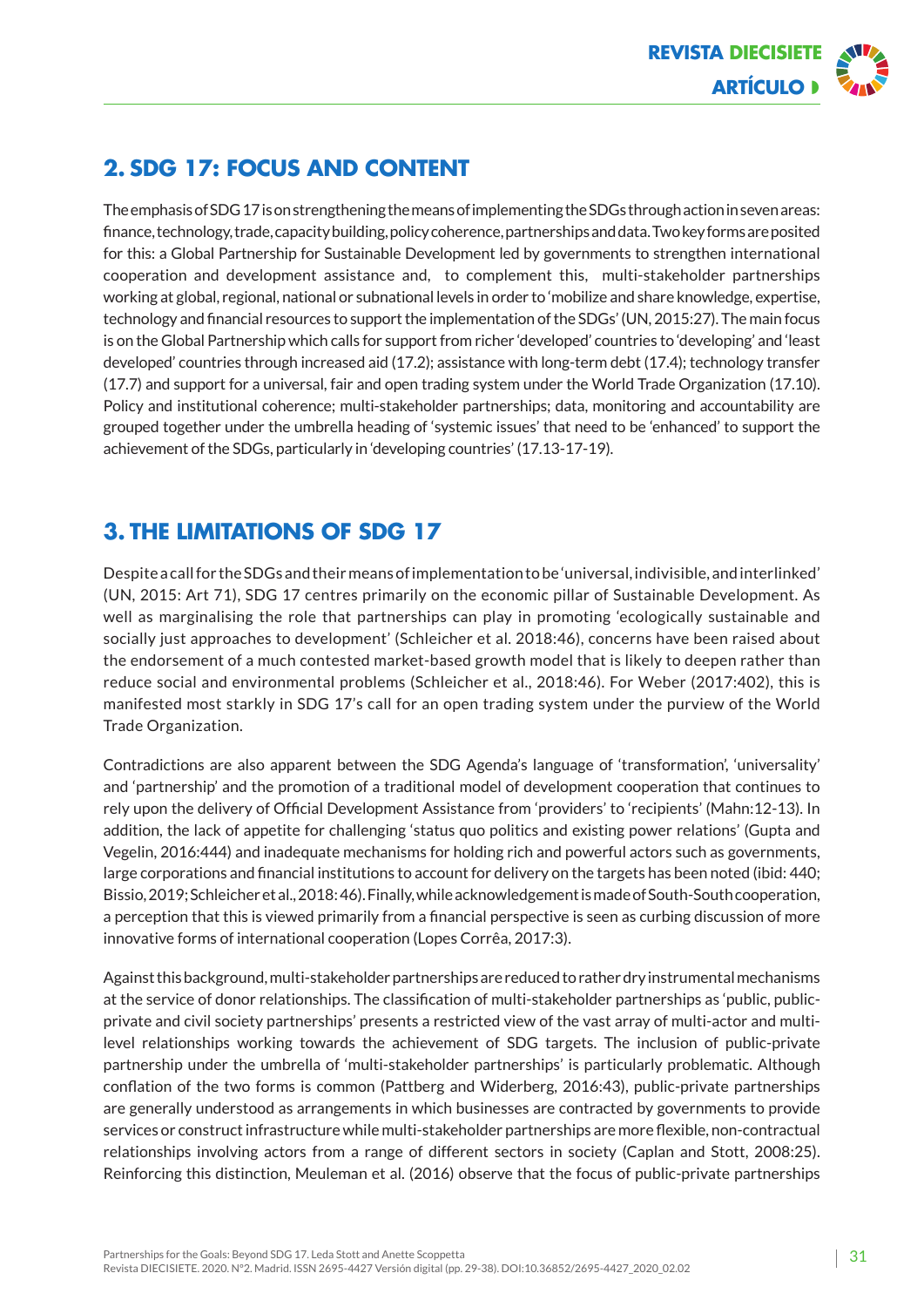

# **2. SDG 17: Focus and content**

The emphasis of SDG 17 is on strengthening the means of implementing the SDGs through action in seven areas: finance, technology, trade, capacity building, policy coherence, partnerships and data. Two key forms are posited for this: a Global Partnership for Sustainable Development led by governments to strengthen international cooperation and development assistance and, to complement this, multi-stakeholder partnerships working at global, regional, national or subnational levels in order to 'mobilize and share knowledge, expertise, technology and financial resources to support the implementation of the SDGs' (UN, 2015:27). The main focus is on the Global Partnership which calls for support from richer 'developed' countries to 'developing' and 'least developed' countries through increased aid (17.2); assistance with long-term debt (17.4); technology transfer (17.7) and support for a universal, fair and open trading system under the World Trade Organization (17.10). Policy and institutional coherence; multi-stakeholder partnerships; data, monitoring and accountability are grouped together under the umbrella heading of 'systemic issues' that need to be 'enhanced' to support the achievement of the SDGs, particularly in 'developing countries' (17.13-17-19).

## **3. The limitations of SDG 17**

Despite a call for the SDGs and their means of implementation to be 'universal, indivisible, and interlinked' (UN, 2015: Art 71), SDG 17 centres primarily on the economic pillar of Sustainable Development. As well as marginalising the role that partnerships can play in promoting 'ecologically sustainable and socially just approaches to development' (Schleicher et al. 2018:46), concerns have been raised about the endorsement of a much contested market-based growth model that is likely to deepen rather than reduce social and environmental problems (Schleicher et al., 2018:46). For Weber (2017:402), this is manifested most starkly in SDG 17's call for an open trading system under the purview of the World Trade Organization.

Contradictions are also apparent between the SDG Agenda's language of 'transformation', 'universality' and 'partnership' and the promotion of a traditional model of development cooperation that continues to rely upon the delivery of Official Development Assistance from 'providers' to 'recipients' (Mahn:12-13). In addition, the lack of appetite for challenging 'status quo politics and existing power relations' (Gupta and Vegelin, 2016:444) and inadequate mechanisms for holding rich and powerful actors such as governments, large corporations and financial institutions to account for delivery on the targets has been noted (ibid: 440; Bissio, 2019; Schleicher et al., 2018: 46). Finally, while acknowledgement is made of South-South cooperation, a perception that this is viewed primarily from a financial perspective is seen as curbing discussion of more innovative forms of international cooperation (Lopes Corrêa, 2017:3).

Against this background, multi-stakeholder partnerships are reduced to rather dry instrumental mechanisms at the service of donor relationships. The classification of multi-stakeholder partnerships as 'public, publicprivate and civil society partnerships' presents a restricted view of the vast array of multi-actor and multilevel relationships working towards the achievement of SDG targets. The inclusion of public-private partnership under the umbrella of 'multi-stakeholder partnerships' is particularly problematic. Although conflation of the two forms is common (Pattberg and Widerberg, 2016:43), public-private partnerships are generally understood as arrangements in which businesses are contracted by governments to provide services or construct infrastructure while multi-stakeholder partnerships are more flexible, non-contractual relationships involving actors from a range of different sectors in society (Caplan and Stott, 2008:25). Reinforcing this distinction, Meuleman et al. (2016) observe that the focus of public-private partnerships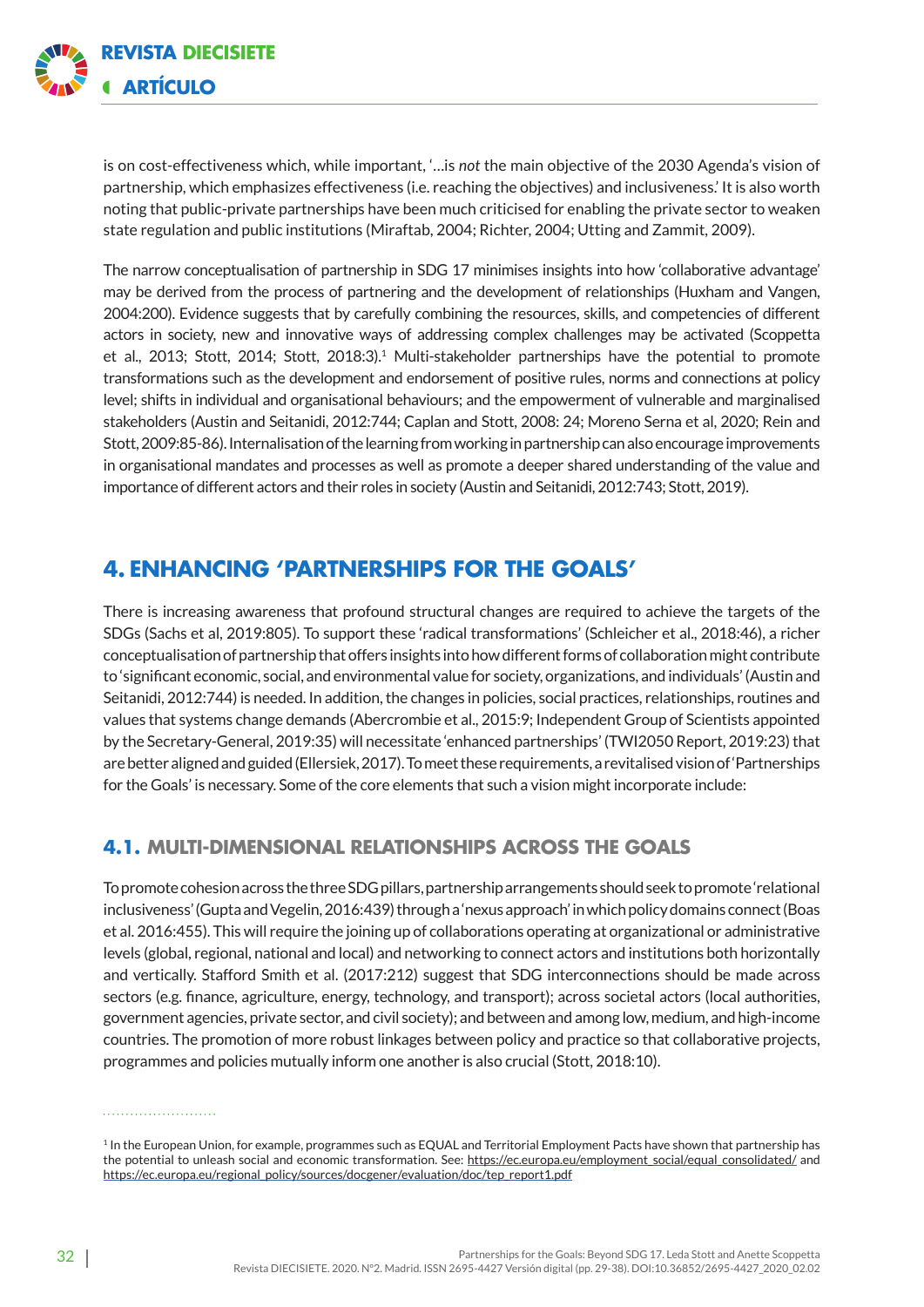

is on cost-effectiveness which, while important, '…is *not* the main objective of the 2030 Agenda's vision of partnership, which emphasizes effectiveness (i.e. reaching the objectives) and inclusiveness.' It is also worth noting that public-private partnerships have been much criticised for enabling the private sector to weaken state regulation and public institutions (Miraftab, 2004; Richter, 2004; Utting and Zammit, 2009).

The narrow conceptualisation of partnership in SDG 17 minimises insights into how 'collaborative advantage' may be derived from the process of partnering and the development of relationships (Huxham and Vangen, 2004:200). Evidence suggests that by carefully combining the resources, skills, and competencies of different actors in society, new and innovative ways of addressing complex challenges may be activated (Scoppetta et al., 2013; Stott, 2014; Stott, 2018:3).<sup>1</sup> Multi-stakeholder partnerships have the potential to promote transformations such as the development and endorsement of positive rules, norms and connections at policy level; shifts in individual and organisational behaviours; and the empowerment of vulnerable and marginalised stakeholders (Austin and Seitanidi, 2012:744; Caplan and Stott, 2008: 24; Moreno Serna et al, 2020; Rein and Stott, 2009:85-86). Internalisation of the learning from working in partnership can also encourage improvements in organisational mandates and processes as well as promote a deeper shared understanding of the value and importance of different actors and their roles in society (Austin and Seitanidi, 2012:743; Stott, 2019).

### **4. Enhancing 'partnerships for the goals'**

There is increasing awareness that profound structural changes are required to achieve the targets of the SDGs (Sachs et al, 2019:805). To support these 'radical transformations' (Schleicher et al., 2018:46), a richer conceptualisation of partnership that offers insights into how different forms of collaboration might contribute to 'significant economic, social, and environmental value for society, organizations, and individuals' (Austin and Seitanidi, 2012:744) is needed. In addition, the changes in policies, social practices, relationships, routines and values that systems change demands (Abercrombie et al., 2015:9; Independent Group of Scientists appointed by the Secretary-General, 2019:35) will necessitate 'enhanced partnerships' (TWI2050 Report, 2019:23) that are better aligned and guided [\(Ellersiek,](http://www.unrisd.org/unrisd/website/people.nsf/(httpPeople)/E7E100BC0B4748EBC125779300520C24?OpenDocument) 2017). To meet these requirements, a revitalised vision of 'Partnerships for the Goals' is necessary. Some of the core elements that such a vision might incorporate include:

#### **4.1. Multi-dimensional relationships across the Goals**

To promote cohesion across the three SDG pillars, partnership arrangements should seek to promote 'relational inclusiveness' (Gupta and Vegelin, 2016:439) through a 'nexus approach' in which policy domains connect (Boas et al. 2016:455). This will require the joining up of collaborations operating at organizational or administrative levels (global, regional, national and local) and networking to connect actors and institutions both horizontally and vertically. Stafford Smith et al. (2017:212) suggest that SDG interconnections should be made across sectors (e.g. finance, agriculture, energy, technology, and transport); across societal actors (local authorities, government agencies, private sector, and civil society); and between and among low, medium, and high-income countries. The promotion of more robust linkages between policy and practice so that collaborative projects, programmes and policies mutually inform one another is also crucial (Stott, 2018:10).

<sup>&</sup>lt;sup>1</sup> In the European Union, for example, programmes such as EQUAL and Territorial Employment Pacts have shown that partnership has the potential to unleash social and economic transformation. See: https:[//ec.europa.eu/employment\\_social/equal\\_consolidated/](https://ec.europa.eu/employment_social/equal_consolidated/) and [ht](https://ec.europa.eu/employment_social/equal_consolidated/)tps://ec.europa.eu/regional\_policy/sources/docgener/evaluation/doc/tep\_report1.pdf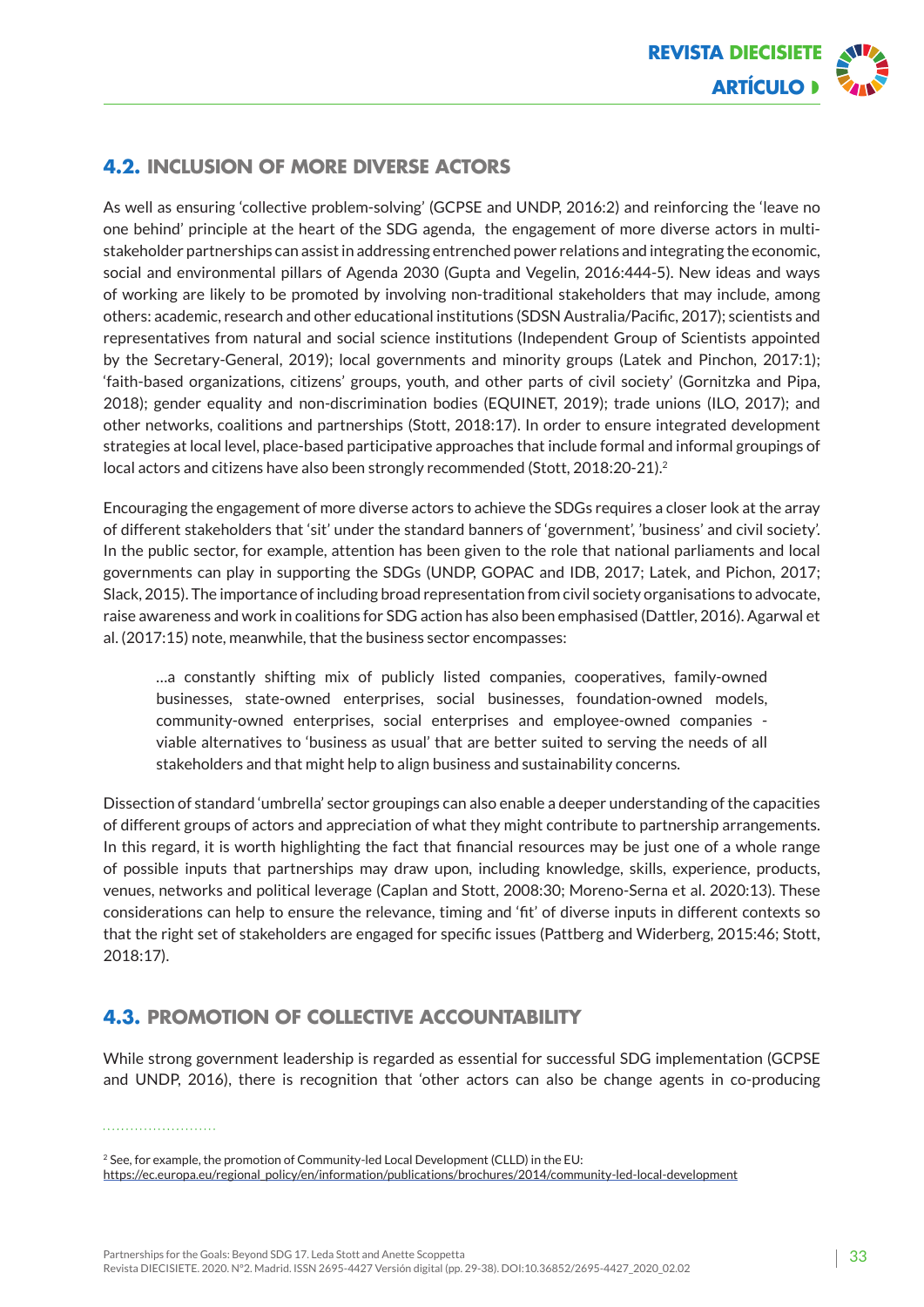

#### **4.2. Inclusion of more diverse actors**

As well as ensuring 'collective problem-solving' (GCPSE and UNDP, 2016:2) and reinforcing the 'leave no one behind' principle at the heart of the SDG agenda, the engagement of more diverse actors in multistakeholder partnerships can assist in addressing entrenched power relations and integrating the economic, social and environmental pillars of Agenda 2030 (Gupta and Vegelin, 2016:444-5). New ideas and ways of working are likely to be promoted by involving non-traditional stakeholders that may include, among others: academic, research and other educational institutions (SDSN Australia/Pacific, 2017); scientists and representatives from natural and social science institutions (Independent Group of Scientists appointed by the Secretary-General, 2019); local governments and minority groups (Latek and Pinchon, 2017:1); 'faith-based organizations, citizens' groups, youth, and other parts of civil society' (Gornitzka and Pipa, 2018); gender equality and non-discrimination bodies (EQUINET, 2019); trade unions (ILO, 2017); and other networks, coalitions and partnerships (Stott, 2018:17). In order to ensure integrated development strategies at local level, place-based participative approaches that include formal and informal groupings of local actors and citizens have also been strongly recommended (Stott, 2018:20-21).<sup>2</sup>

Encouraging the engagement of more diverse actors to achieve the SDGs requires a closer look at the array of different stakeholders that 'sit' under the standard banners of 'government', 'business' and civil society'. In the public sector, for example, attention has been given to the role that national parliaments and local governments can play in supporting the SDGs (UNDP, GOPAC and IDB, 2017; Latek, and Pichon, 2017; Slack, 2015). The importance of including broad representation from civil society organisations to advocate, raise awareness and work in coalitions for SDG action has also been emphasised (Dattler, 2016). Agarwal et al. (2017:15) note, meanwhile, that the business sector encompasses:

…a constantly shifting mix of publicly listed companies, cooperatives, family-owned businesses, state-owned enterprises, social businesses, foundation-owned models, community-owned enterprises, social enterprises and employee-owned companies viable alternatives to 'business as usual' that are better suited to serving the needs of all stakeholders and that might help to align business and sustainability concerns.

Dissection of standard 'umbrella' sector groupings can also enable a deeper understanding of the capacities of different groups of actors and appreciation of what they might contribute to partnership arrangements. In this regard, it is worth highlighting the fact that financial resources may be just one of a whole range of possible inputs that partnerships may draw upon, including knowledge, skills, experience, products, venues, networks and political leverage (Caplan and Stott, 2008:30; Moreno-Serna et al. 2020:13). These considerations can help to ensure the relevance, timing and 'fit' of diverse inputs in different contexts so that the right set of stakeholders are engaged for specific issues (Pattberg and Widerberg, 2015:46; Stott, 2018:17).

#### **4.3. Promotion of collective accountability**

While strong government leadership is regarded as essential for successful SDG implementation (GCPSE and UNDP, 2016), there is recognition that 'other actors can also be change agents in co-producing

<sup>&</sup>lt;sup>2</sup> See, for example, the promotion of Community-led Local Development (CLLD) in the EU: https://ec.europa.eu/regional\_policy/en/information/publications/brochures/2014/community-led-local-development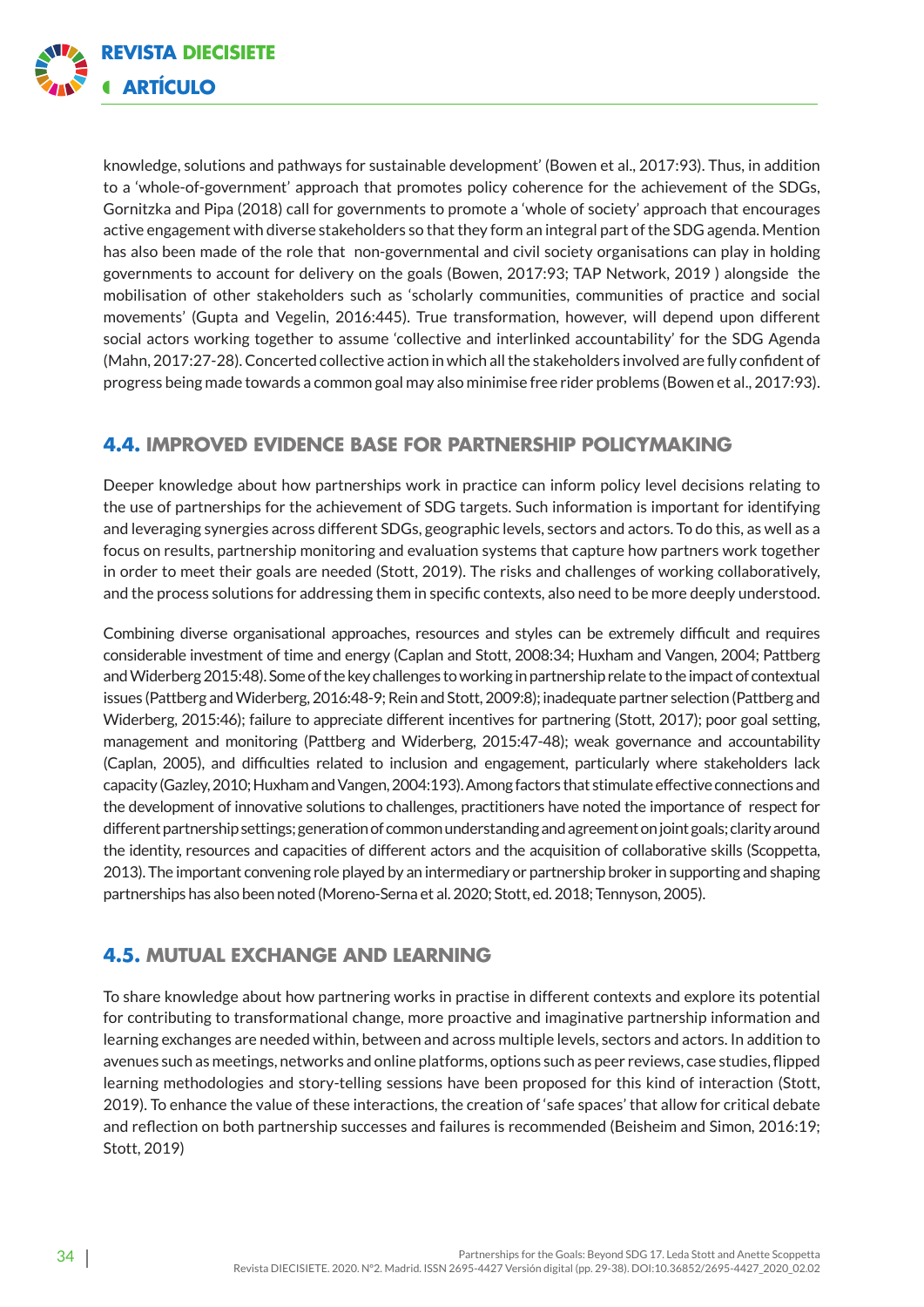

knowledge, solutions and pathways for sustainable development' (Bowen et al., 2017:93). Thus, in addition to a 'whole-of-government' approach that promotes policy coherence for the achievement of the SDGs, Gornitzka and Pipa (2018) call for governments to promote a 'whole of society' approach that encourages active engagement with diverse stakeholders so that they form an integral part of the SDG agenda. Mention has also been made of the role that non-governmental and civil society organisations can play in holding governments to account for delivery on the goals (Bowen, 2017:93; TAP Network, 2019 ) alongside the mobilisation of other stakeholders such as 'scholarly communities, communities of practice and social movements' (Gupta and Vegelin, 2016:445). True transformation, however, will depend upon different social actors working together to assume 'collective and interlinked accountability' for the SDG Agenda (Mahn, 2017:27-28). Concerted collective action in which all the stakeholders involved are fully confident of progress being made towards a common goal may also minimise free rider problems (Bowen et al., 2017:93).

#### **4.4. Improved evidence base for partnership policymaking**

Deeper knowledge about how partnerships work in practice can inform policy level decisions relating to the use of partnerships for the achievement of SDG targets. Such information is important for identifying and leveraging synergies across different SDGs, geographic levels, sectors and actors. To do this, as well as a focus on results, partnership monitoring and evaluation systems that capture how partners work together in order to meet their goals are needed (Stott, 2019). The risks and challenges of working collaboratively, and the process solutions for addressing them in specific contexts, also need to be more deeply understood.

Combining diverse organisational approaches, resources and styles can be extremely difficult and requires considerable investment of time and energy (Caplan and Stott, 2008:34; Huxham and Vangen, 2004; Pattberg and Widerberg 2015:48). Some of the key challenges to working in partnership relate to the impact of contextual issues (Pattberg and Widerberg, 2016:48-9; Rein and Stott, 2009:8); inadequate partner selection (Pattberg and Widerberg, 2015:46); failure to appreciate different incentives for partnering (Stott, 2017); poor goal setting, management and monitoring (Pattberg and Widerberg, 2015:47-48); weak governance and accountability (Caplan, 2005), and difficulties related to inclusion and engagement, particularly where stakeholders lack capacity (Gazley, 2010; Huxham and Vangen, 2004:193). Among factors that stimulate effective connections and the development of innovative solutions to challenges, practitioners have noted the importance of respect for different partnership settings; generation of common understanding and agreement on joint goals; clarity around the identity, resources and capacities of different actors and the acquisition of collaborative skills (Scoppetta, 2013). The important convening role played by an intermediary or partnership broker in supporting and shaping partnerships has also been noted (Moreno-Serna et al. 2020; Stott, ed. 2018; Tennyson, 2005).

#### **4.5. Mutual exchange and learning**

To share knowledge about how partnering works in practise in different contexts and explore its potential for contributing to transformational change, more proactive and imaginative partnership information and learning exchanges are needed within, between and across multiple levels, sectors and actors. In addition to avenues such as meetings, networks and online platforms, options such as peer reviews, case studies, flipped learning methodologies and story-telling sessions have been proposed for this kind of interaction (Stott, 2019). To enhance the value of these interactions, the creation of 'safe spaces' that allow for critical debate and reflection on both partnership successes and failures is recommended (Beisheim and Simon, 2016:19; Stott, 2019)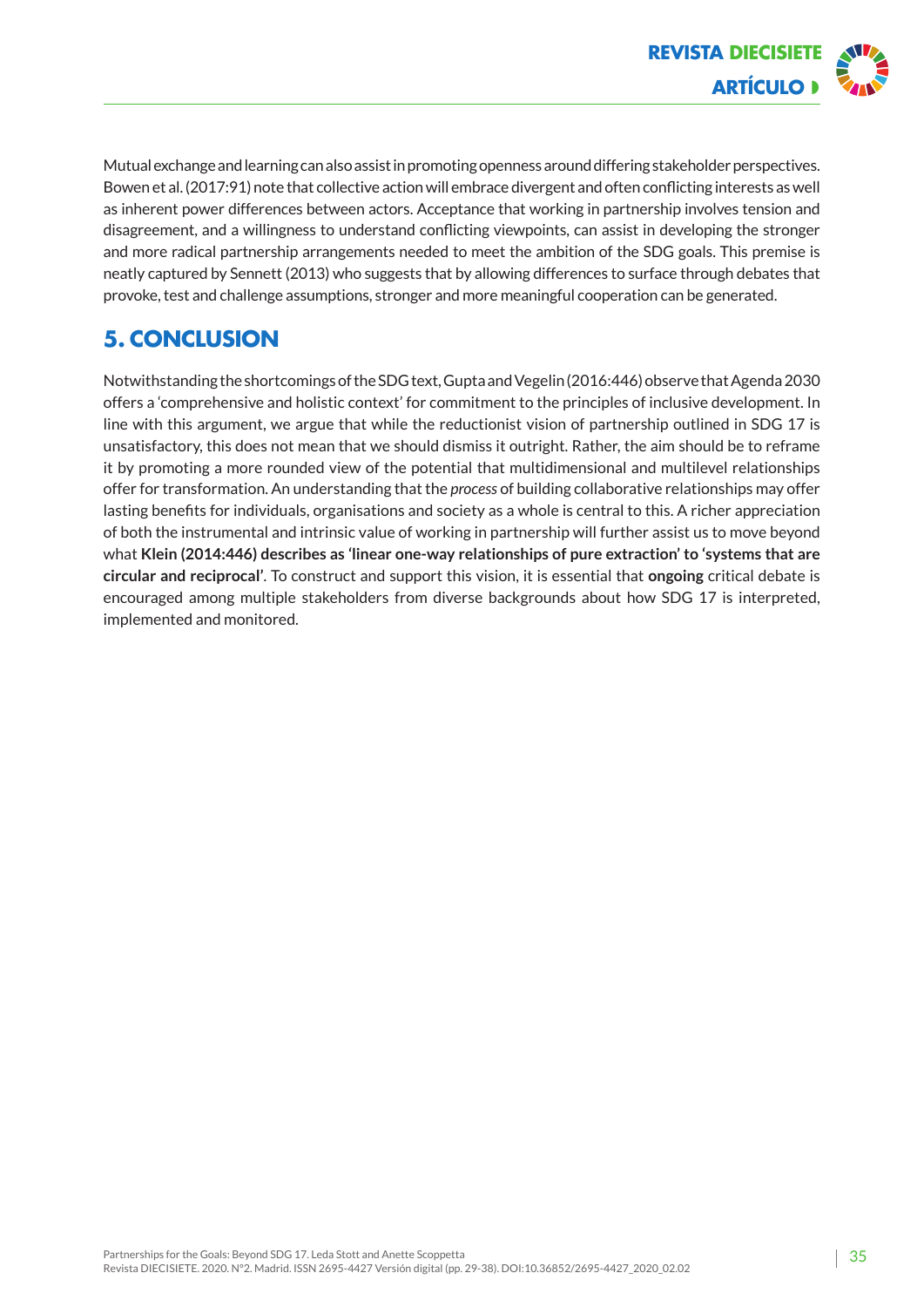

Mutual exchange and learning can also assist in promoting openness around differing stakeholder perspectives. Bowen et al. (2017:91) note that collective action will embrace divergent and often conflicting interests as well as inherent power differences between actors. Acceptance that working in partnership involves tension and disagreement, and a willingness to understand conflicting viewpoints, can assist in developing the stronger and more radical partnership arrangements needed to meet the ambition of the SDG goals. This premise is neatly captured by Sennett (2013) who suggests that by allowing differences to surface through debates that provoke, test and challenge assumptions, stronger and more meaningful cooperation can be generated.

# **5. Conclusion**

Notwithstanding the shortcomings of the SDG text, Gupta and Vegelin (2016:446) observe that Agenda 2030 offers a 'comprehensive and holistic context' for commitment to the principles of inclusive development. In line with this argument, we argue that while the reductionist vision of partnership outlined in SDG 17 is unsatisfactory, this does not mean that we should dismiss it outright. Rather, the aim should be to reframe it by promoting a more rounded view of the potential that multidimensional and multilevel relationships offer for transformation. An understanding that the *process* of building collaborative relationships may offer lasting benefits for individuals, organisations and society as a whole is central to this. A richer appreciation of both the instrumental and intrinsic value of working in partnership will further assist us to move beyond what **Klein (2014:446) describes as 'linear one-way relationships of pure extraction' to 'systems that are circular and reciprocal'**. To construct and support this vision, it is essential that **ongoing** critical debate is encouraged among multiple stakeholders from diverse backgrounds about how SDG 17 is interpreted, implemented and monitored.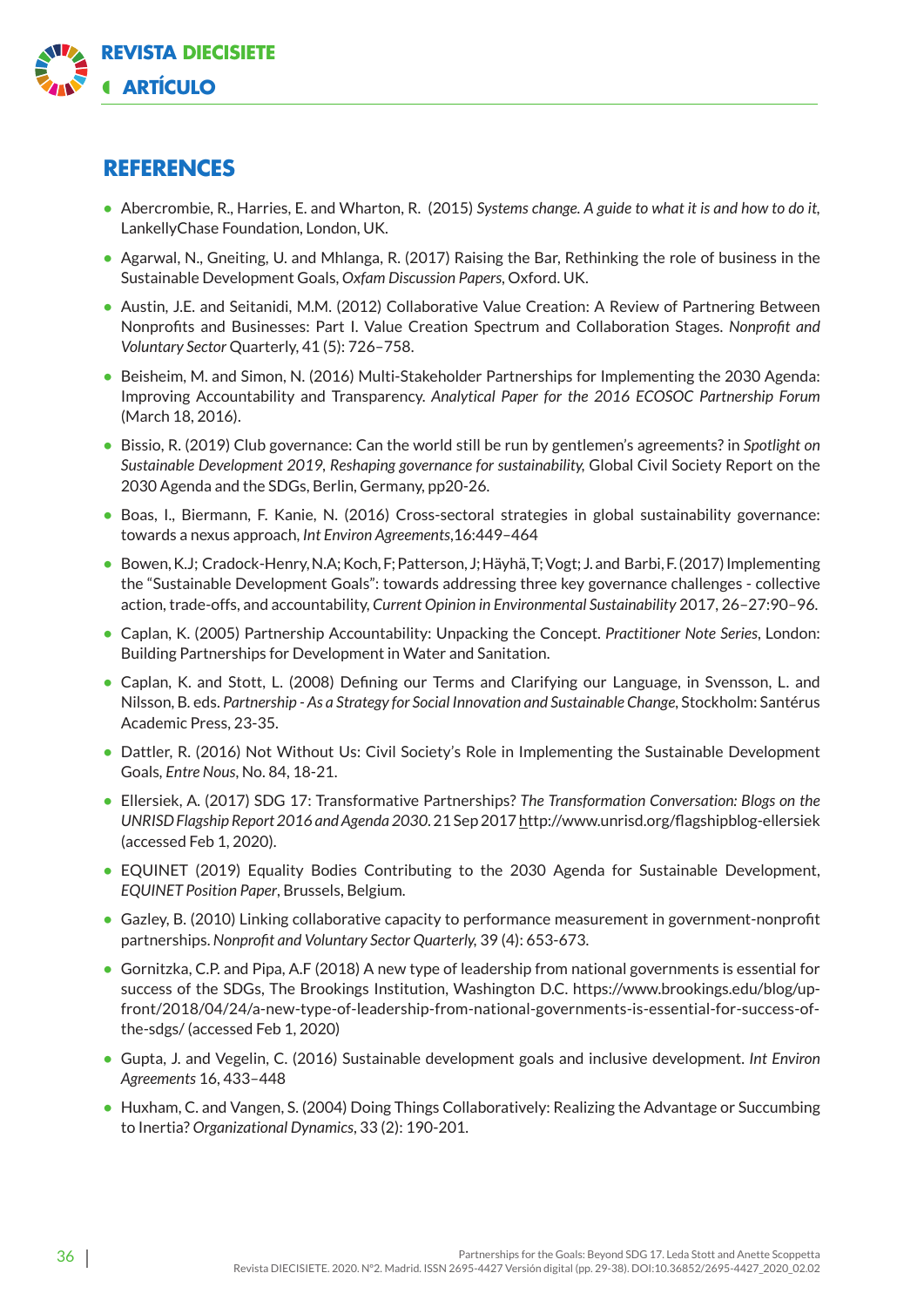

### **References**

- **•** Abercrombie, R., Harries, E. and Wharton, R. (2015) *Systems change. A guide to what it is and how to do it,* LankellyChase Foundation, London, UK.
- **•** Agarwal, N., Gneiting, U. and Mhlanga, R. (2017) Raising the Bar, Rethinking the role of business in the Sustainable Development Goals, *Oxfam Discussion Papers*, Oxford. UK.
- **•** Austin, J.E. and Seitanidi, M.M. (2012) Collaborative Value Creation: A Review of Partnering Between Nonprofits and Businesses: Part I. Value Creation Spectrum and Collaboration Stages. *Nonprofit and Voluntary Sector* Quarterly, 41 (5): 726–758.
- **•** Beisheim, M. and Simon, N. (2016) Multi-Stakeholder Partnerships for Implementing the 2030 Agenda: Improving Accountability and Transparency. *Analytical Paper for the 2016 ECOSOC Partnership Forum* (March 18, 2016).
- **•** Bissio, R. (2019) Club governance: Can the world still be run by gentlemen's agreements? in *Spotlight on Sustainable Development 2019, Reshaping governance for sustainability,* Global Civil Society Report on the 2030 Agenda and the SDGs, Berlin, Germany, pp20-26.
- **•** Boas, I., Biermann, F. Kanie, N. (2016) Cross-sectoral strategies in global sustainability governance: towards a nexus approach, *Int Environ Agreements*,16:449–464
- **•** Bowen, K.J; Cradock-Henry, N.A; Koch, F; Patterson, J; Häyhä, T; Vogt; J. and Barbi, F. (2017) Implementing the "Sustainable Development Goals": towards addressing three key governance challenges - collective action, trade-offs, and accountability, *Current Opinion in Environmental Sustainability* 2017, 26–27:90–96.
- **•** Caplan, K. (2005) Partnership Accountability: Unpacking the Concept. *Practitioner Note Series*, London: Building Partnerships for Development in Water and Sanitation.
- **•** Caplan, K. and Stott, L. (2008) Defining our Terms and Clarifying our Language, in Svensson, L. and Nilsson, B*.* eds. *Partnership - As a Strategy for Social Innovation and Sustainable Change*, Stockholm: Santérus Academic Press, 23-35.
- **•** Dattler, R. (2016) Not Without Us: Civil Society's Role in Implementing the Sustainable Development Goals*, Entre Nous*, No. 84, 18-21.
- **•** Ell[ersiek, A](http://www.unrisd.org/unrisd/website/people.nsf/(httpPeople)/E7E100BC0B4748EBC125779300520C24?OpenDocument). (2017) SDG 17: Transformative Partnerships? *The [Transformation Conversation: Blogs on the](http://www.unrisd.org/flagshipblog-guide)  [UNRISD Flagship Report 2016 and Agenda 2030](http://www.unrisd.org/flagshipblog-guide)*. 21 Sep 2017 ht[tp://www.unrisd.org/flagshipblog-ellersiek](http://www.unrisd.org/flagshipblog-ellersiek) [\(a](http://www.unrisd.org/flagshipblog-ellersiek)ccessed Feb 1, 2020).
- **•** EQUINET (2019) Equality Bodies Contributing to the 2030 Agenda for Sustainable Development, *EQUINET Position Paper*, Brussels, Belgium.
- **•** Gazley, B. (2010) Linking collaborative capacity to performance measurement in government-nonprofit partnerships. *Nonprofit and Voluntary Sector Quarterly,* 39 (4): 653-673.
- **•** Gornitzka, C.P. and Pipa, A.F (2018) A new type of leadership from national governments is essential for success of the SDGs, The Brookings Institution, Washington D.C. ht[tps://www.brookings.edu/blog/up](https://www.brookings.edu/blog/up-front/2018/04/24/a-new-type-of-leadership-from-national-governments-is-essential-for-success-of-the-sdgs/)[front/2018/04/24/a-new-type-of-leadership-from-national-governments-is-essential-for-success-of](https://www.brookings.edu/blog/up-front/2018/04/24/a-new-type-of-leadership-from-national-governments-is-essential-for-success-of-the-sdgs/)[the-sdgs/ \(a](https://www.brookings.edu/blog/up-front/2018/04/24/a-new-type-of-leadership-from-national-governments-is-essential-for-success-of-the-sdgs/)ccessed Feb 1, 2020)
- **•** Gupta, J. and Vegelin, C. (2016) Sustainable development goals and inclusive development. *Int Environ Agreements* 16, 433–448
- **•** Huxham, C. and Vangen, S. (2004) Doing Things Collaboratively: Realizing the Advantage or Succumbing to Inertia? *Organizational Dynamics*, 33 (2): 190-201.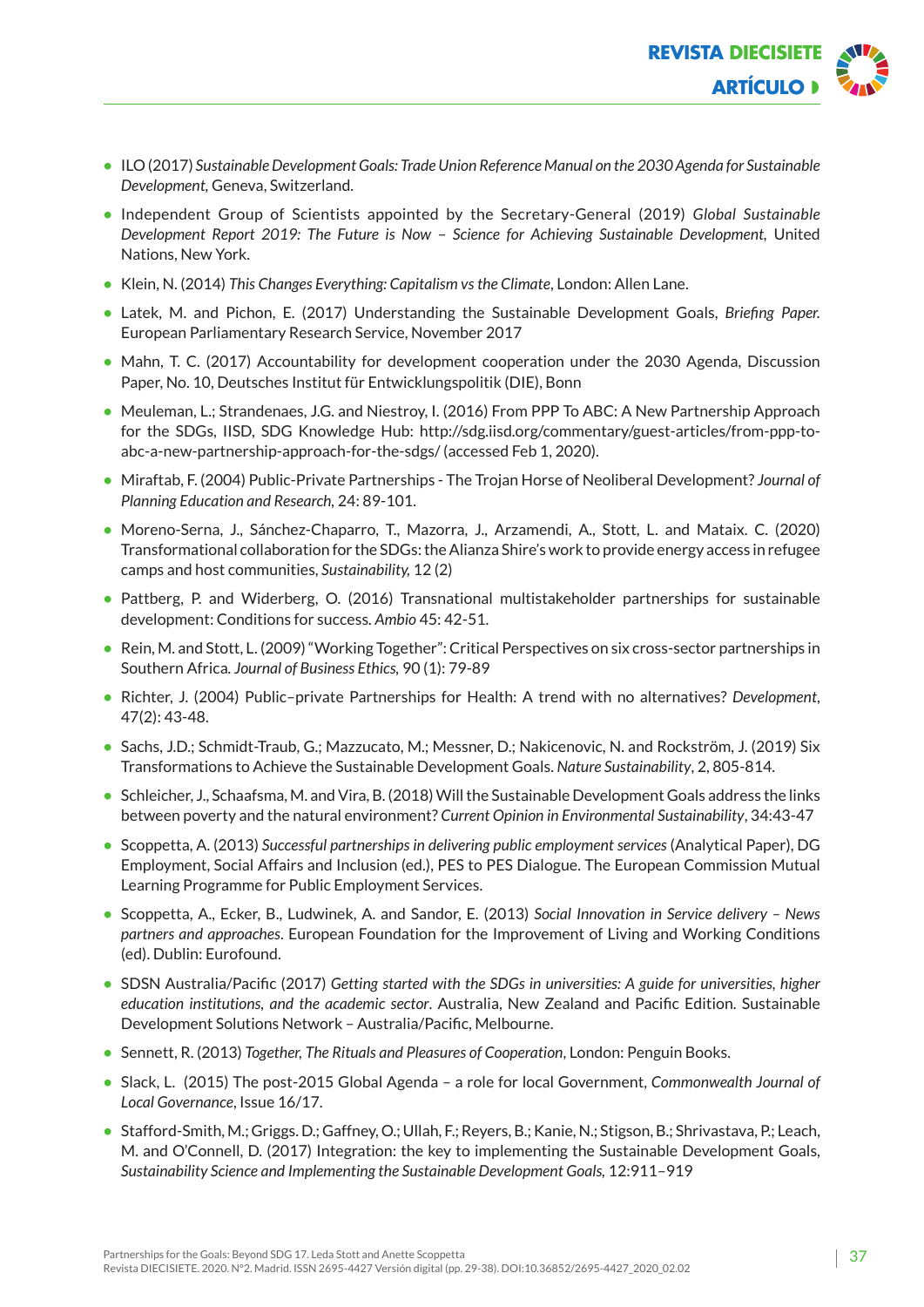

- **•** ILO (2017) *Sustainable Development Goals: Trade Union Reference Manual on the 2030 Agenda for Sustainable Development,* Geneva, Switzerland.
- **•** Independent Group of Scientists appointed by the Secretary-General (2019) *Global Sustainable Development Report 2019: The Future is Now* – *Science for Achieving Sustainable Development,* United Nations, New York.
- **•** Klein, N. (2014) *This Changes Everything: Capitalism vs the Climate*, London: Allen Lane.
- **•** Latek, M. and Pichon, E. (2017) Understanding the Sustainable Development Goals, *Briefing Paper.* European Parliamentary Research Service, November 2017
- Mahn, T. C. (2017) Accountability for development cooperation under the 2030 Agenda, Discussion Paper, No. 10, Deutsches Institut für Entwicklungspolitik (DIE), Bonn
- **•** Meuleman, L.; Strandenaes, J.G. and Niestroy, I. (2016) From PPP To ABC: A New Partnership Approach for the SDGs, IISD, SDG Knowledge Hub: ht[tp://sdg.iisd.org/commentary/guest-articles/from-ppp-to](http://sdg.iisd.org/commentary/guest-articles/from-ppp-to-abc-a-new-partnership-approach-for-the-sdgs/)[abc-a-new-partnership-approach-for-the-sdgs/ \(ac](http://sdg.iisd.org/commentary/guest-articles/from-ppp-to-abc-a-new-partnership-approach-for-the-sdgs/)cessed Feb 1, 2020).
- **•** Miraftab, F. (2004) Public-Private Partnerships The Trojan Horse of Neoliberal Development? *Journal of Planning Education and Research,* 24: 89-101.
- **•** Moreno-Serna, J., Sánchez-Chaparro, T., Mazorra, J., Arzamendi, A., Stott, L. and Mataix. C. (2020) Transformational collaboration for the SDGs: the Alianza Shire's work to provide energy access in refugee camps and host communities, *Sustainability,* 12 (2)
- **•** Pattberg, P. and Widerberg, O. (2016) Transnational multistakeholder partnerships for sustainable development: Conditions for success*. Ambio* 45: 42-51.
- **•** Rein, M. and Stott, L. (2009) "Working Together": Critical Perspectives on six cross-sector partnerships in Southern Africa*. Journal of Business Ethics,* 90 (1): 79-89
- **•** Richter, J. (2004) Public–private Partnerships for Health: A trend with no alternatives? *Development*, 47(2): 43-48.
- **•** Sachs, J.D.; Schmidt-Traub, G.; Mazzucato, M.; Messner, D.; Nakicenovic, N. and Rockström, J. (2019) Six Transformations to Achieve the Sustainable Development Goals. *Nature Sustainability*, 2, 805-814.
- **•** Schleicher, J., Schaafsma, M. and Vira, B. (2018) Will the Sustainable Development Goals address the links between poverty and the natural environment? *Current Opinion in Environmental Sustainability*, 34:43-47
- **•** Scoppetta, A. (2013) *Successful partnerships in delivering public employment services* (Analytical Paper), DG Employment, Social Affairs and Inclusion (ed.), PES to PES Dialogue. The European Commission Mutual Learning Programme for Public Employment Services.
- **•** Scoppetta, A., Ecker, B., Ludwinek, A. and Sandor, E. (2013) *Social Innovation in Service delivery News partners and approaches*. European Foundation for the Improvement of Living and Working Conditions (ed). Dublin: Eurofound.
- **•** SDSN Australia/Pacific (2017) *Getting started with the SDGs in universities: A guide for universities, higher education institutions, and the academic sector*. Australia, New Zealand and Pacific Edition. Sustainable Development Solutions Network – Australia/Pacific, Melbourne.
- **•** Sennett, R. (2013) *Together, The Rituals and Pleasures of Cooperation*, London: Penguin Books.
- **•** Slack, L. (2015) The post-2015 Global Agenda a role for local Government, *Commonwealth Journal of Local Governance*, Issue 16/17.
- **•** Stafford-Smith, M.; Griggs. D.; Gaffney, O.; Ullah, F.; Reyers, B.; Kanie, N.; Stigson, B.; Shrivastava, P.; Leach, M. and O'Connell, D. (2017) Integration: the key to implementing the Sustainable Development Goals, *Sustainability Science and Implementing the Sustainable Development Goals,* 12:911–919